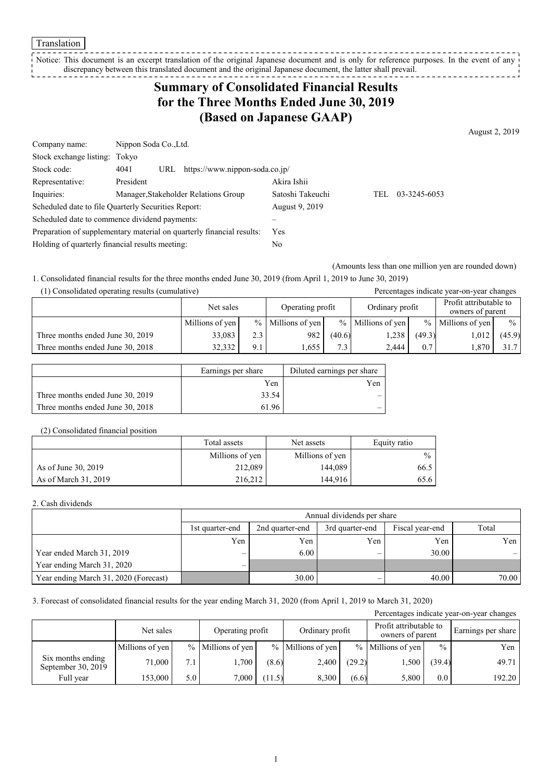Translation

Notice: This document is an excerpt translation of the original Japanese document and is only for reference purposes. In the event of any discrepancy between this translated document and the original Japanese document, the latter shall prevail. -----------------

## **Summary of Consolidated Financial Results for the Three Months Ended June 30, 2019 (Based on Japanese GAAP)**

August 2, 2019

| Company name:                                                         | Nippon Soda Co., Ltd.                         |                  |     |              |  |  |
|-----------------------------------------------------------------------|-----------------------------------------------|------------------|-----|--------------|--|--|
| Stock exchange listing: Tokyo                                         |                                               |                  |     |              |  |  |
| Stock code:                                                           | https://www.nippon-soda.co.jp/<br>4041<br>URL |                  |     |              |  |  |
| Representative:                                                       | President                                     | Akira Ishii      |     |              |  |  |
| Inquiries:                                                            | Manager, Stakeholder Relations Group          | Satoshi Takeuchi | TEL | 03-3245-6053 |  |  |
| Scheduled date to file Quarterly Securities Report:                   |                                               | August 9, 2019   |     |              |  |  |
| Scheduled date to commence dividend payments:                         |                                               |                  |     |              |  |  |
| Preparation of supplementary material on quarterly financial results: |                                               | <b>Yes</b>       |     |              |  |  |
| Holding of quarterly financial results meeting:                       |                                               | No               |     |              |  |  |

(Amounts less than one million yen are rounded down)

1. Consolidated financial results for the three months ended June 30, 2019 (from April 1, 2019 to June 30, 2019)

| (1) Consolidated operating results (cumulative) |                 |     |                     |                  |                     |        | Percentages indicate year-on-year changes  |               |
|-------------------------------------------------|-----------------|-----|---------------------|------------------|---------------------|--------|--------------------------------------------|---------------|
|                                                 | Net sales       |     | Operating profit    |                  | Ordinary profit     |        | Profit attributable to<br>owners of parent |               |
|                                                 | Millions of yen |     | $%$ Millions of yen |                  | $%$ Millions of yen |        | $%$ Millions of yen                        | $\frac{0}{0}$ |
| Three months ended June 30, 2019                | 33,083          | 2.3 | 982                 | (40.6)           | 1,238               | (49.3) | 1,012                                      | (45.9)        |
| Three months ended June 30, 2018                | 32,332          | 9.1 | 1,655               | 7.3 <sub>1</sub> | 2.444               | 0.7    | 1,870                                      | 31.7          |

|                                  | Earnings per share | Diluted earnings per share |
|----------------------------------|--------------------|----------------------------|
|                                  | Yen                | Yen                        |
| Three months ended June 30, 2019 | 33.54              |                            |
| Three months ended June 30, 2018 | 61.96              |                            |

#### (2) Consolidated financial position

|                      | Total assets    | Net assets      | Equity ratio  |
|----------------------|-----------------|-----------------|---------------|
|                      | Millions of yen | Millions of yen | $\frac{0}{0}$ |
| As of June 30, 2019  | 212,089         | 144,089         | 66.5          |
| As of March 31, 2019 | 216.212         | 144,916         | 65.6          |

### 2. Cash dividends

|                                       |                          | Annual dividends per share                                     |     |       |       |  |  |  |  |
|---------------------------------------|--------------------------|----------------------------------------------------------------|-----|-------|-------|--|--|--|--|
|                                       | 1st quarter-end          | Total<br>Fiscal year-end<br>2nd quarter-end<br>3rd quarter-end |     |       |       |  |  |  |  |
|                                       | Yen                      | Yen                                                            | Yen | Yen   | Yen I |  |  |  |  |
| Year ended March 31, 2019             | $\overline{\phantom{0}}$ | 6.00                                                           | –   | 30.00 |       |  |  |  |  |
| Year ending March 31, 2020            | $\overline{\phantom{0}}$ |                                                                |     |       |       |  |  |  |  |
| Year ending March 31, 2020 (Forecast) |                          | 30.00                                                          | —   | 40.00 | 70.00 |  |  |  |  |

### 3. Forecast of consolidated financial results for the year ending March 31, 2020 (from April 1, 2019 to March 31, 2020)

| Percentages indicate year-on-year changes |                 |     |                                     |        |                     |        |                   |                                            |        |                    |
|-------------------------------------------|-----------------|-----|-------------------------------------|--------|---------------------|--------|-------------------|--------------------------------------------|--------|--------------------|
|                                           | Net sales       |     | Ordinary profit<br>Operating profit |        |                     |        |                   | Profit attributable to<br>owners of parent |        | Earnings per share |
|                                           | Millions of yen |     | % Millions of yen                   |        | $%$ Millions of yen |        | % Millions of yen | $\frac{0}{0}$                              | Yen    |                    |
| Six months ending<br>September 30, 2019   | 71,000          | 7.1 | 1,700                               | (8.6)  | 2,400               | (29.2) | 1,500             | (39.4)                                     | 49.71  |                    |
| Full year                                 | 153,000         | 5.0 | 7.000                               | (11.5) | 8.300               | (6.6)  | 5,800             | $0.0\,$                                    | 192.20 |                    |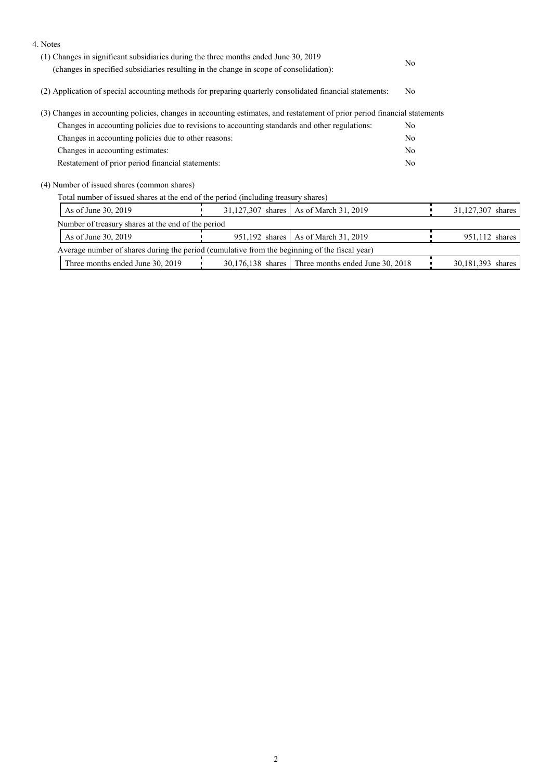| 4. Notes                                                                                                                  |                                                   |                                                      |  |                   |  |
|---------------------------------------------------------------------------------------------------------------------------|---------------------------------------------------|------------------------------------------------------|--|-------------------|--|
| (1) Changes in significant subsidiaries during the three months ended June 30, 2019                                       | No                                                |                                                      |  |                   |  |
| (changes in specified subsidiaries resulting in the change in scope of consolidation):                                    |                                                   |                                                      |  |                   |  |
| (2) Application of special accounting methods for preparing quarterly consolidated financial statements:                  | No                                                |                                                      |  |                   |  |
| (3) Changes in accounting policies, changes in accounting estimates, and restatement of prior period financial statements |                                                   |                                                      |  |                   |  |
| Changes in accounting policies due to revisions to accounting standards and other regulations:                            |                                                   |                                                      |  |                   |  |
| Changes in accounting policies due to other reasons:                                                                      |                                                   |                                                      |  |                   |  |
| Changes in accounting estimates:                                                                                          |                                                   |                                                      |  |                   |  |
|                                                                                                                           | Restatement of prior period financial statements: |                                                      |  |                   |  |
| (4) Number of issued shares (common shares)                                                                               |                                                   |                                                      |  |                   |  |
| Total number of issued shares at the end of the period (including treasury shares)                                        |                                                   |                                                      |  |                   |  |
| As of June 30, 2019                                                                                                       |                                                   | 31,127,307 shares   As of March 31, 2019             |  | 31,127,307 shares |  |
| Number of treasury shares at the end of the period                                                                        |                                                   |                                                      |  |                   |  |
| As of June 30, 2019                                                                                                       | 951,192 shares                                    | As of March 31, 2019                                 |  | 951,112 shares    |  |
| Average number of shares during the period (cumulative from the beginning of the fiscal year)                             |                                                   |                                                      |  |                   |  |
| Three months ended June 30, 2019                                                                                          |                                                   | $30,176,138$ shares Three months ended June 30, 2018 |  | 30,181,393 shares |  |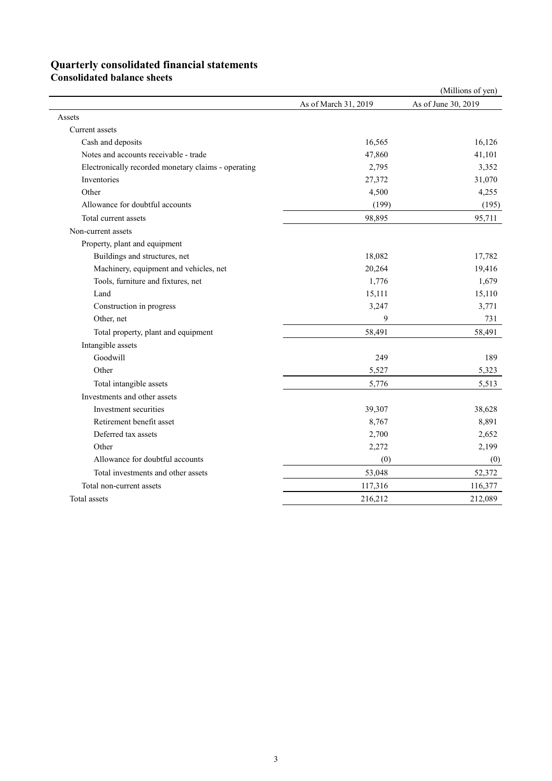# **Quarterly consolidated financial statements**

**Consolidated balance sheets** 

|                                                     |                      | (Millions of yen)   |
|-----------------------------------------------------|----------------------|---------------------|
|                                                     | As of March 31, 2019 | As of June 30, 2019 |
| Assets                                              |                      |                     |
| Current assets                                      |                      |                     |
| Cash and deposits                                   | 16,565               | 16,126              |
| Notes and accounts receivable - trade               | 47,860               | 41,101              |
| Electronically recorded monetary claims - operating | 2,795                | 3,352               |
| Inventories                                         | 27,372               | 31,070              |
| Other                                               | 4,500                | 4,255               |
| Allowance for doubtful accounts                     | (199)                | (195)               |
| Total current assets                                | 98,895               | 95,711              |
| Non-current assets                                  |                      |                     |
| Property, plant and equipment                       |                      |                     |
| Buildings and structures, net                       | 18,082               | 17,782              |
| Machinery, equipment and vehicles, net              | 20,264               | 19,416              |
| Tools, furniture and fixtures, net                  | 1,776                | 1,679               |
| Land                                                | 15,111               | 15,110              |
| Construction in progress                            | 3,247                | 3,771               |
| Other, net                                          | 9                    | 731                 |
| Total property, plant and equipment                 | 58,491               | 58,491              |
| Intangible assets                                   |                      |                     |
| Goodwill                                            | 249                  | 189                 |
| Other                                               | 5,527                | 5,323               |
| Total intangible assets                             | 5,776                | 5,513               |
| Investments and other assets                        |                      |                     |
| Investment securities                               | 39,307               | 38,628              |
| Retirement benefit asset                            | 8,767                | 8,891               |
| Deferred tax assets                                 | 2,700                | 2,652               |
| Other                                               | 2,272                | 2,199               |
| Allowance for doubtful accounts                     | (0)                  | (0)                 |
| Total investments and other assets                  | 53,048               | 52,372              |
| Total non-current assets                            | 117,316              | 116,377             |
| Total assets                                        | 216,212              | 212,089             |
|                                                     |                      |                     |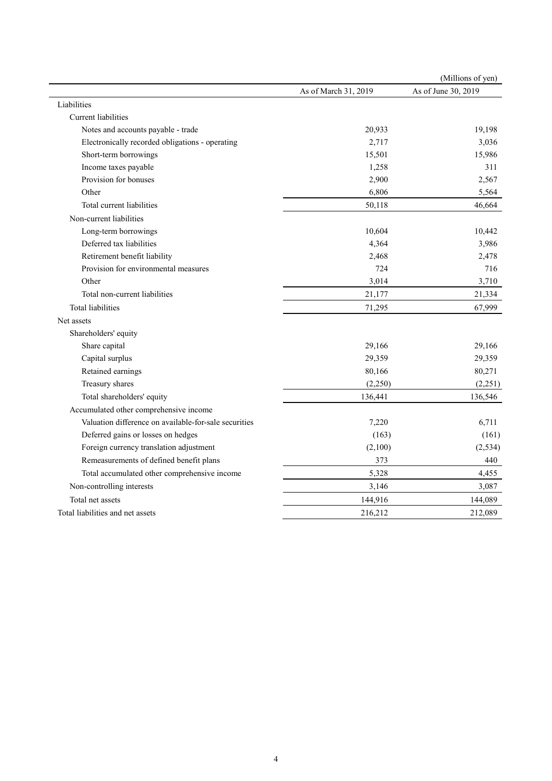|                                                       |                      | (Millions of yen)   |
|-------------------------------------------------------|----------------------|---------------------|
|                                                       | As of March 31, 2019 | As of June 30, 2019 |
| Liabilities                                           |                      |                     |
| <b>Current</b> liabilities                            |                      |                     |
| Notes and accounts payable - trade                    | 20,933               | 19,198              |
| Electronically recorded obligations - operating       | 2,717                | 3,036               |
| Short-term borrowings                                 | 15,501               | 15,986              |
| Income taxes payable                                  | 1,258                | 311                 |
| Provision for bonuses                                 | 2,900                | 2,567               |
| Other                                                 | 6,806                | 5,564               |
| Total current liabilities                             | 50,118               | 46,664              |
| Non-current liabilities                               |                      |                     |
| Long-term borrowings                                  | 10,604               | 10,442              |
| Deferred tax liabilities                              | 4,364                | 3,986               |
| Retirement benefit liability                          | 2,468                | 2,478               |
| Provision for environmental measures                  | 724                  | 716                 |
| Other                                                 | 3,014                | 3,710               |
| Total non-current liabilities                         | 21,177               | 21,334              |
| Total liabilities                                     | 71,295               | 67,999              |
| Net assets                                            |                      |                     |
| Shareholders' equity                                  |                      |                     |
| Share capital                                         | 29,166               | 29,166              |
| Capital surplus                                       | 29,359               | 29,359              |
| Retained earnings                                     | 80,166               | 80,271              |
| Treasury shares                                       | (2,250)              | (2,251)             |
| Total shareholders' equity                            | 136,441              | 136,546             |
| Accumulated other comprehensive income                |                      |                     |
| Valuation difference on available-for-sale securities | 7,220                | 6,711               |
| Deferred gains or losses on hedges                    | (163)                | (161)               |
| Foreign currency translation adjustment               | (2,100)              | (2, 534)            |
| Remeasurements of defined benefit plans               | 373                  | 440                 |
| Total accumulated other comprehensive income          | 5,328                | 4,455               |
| Non-controlling interests                             | 3,146                | 3,087               |
| Total net assets                                      | 144,916              | 144,089             |
| Total liabilities and net assets                      | 216,212              | 212,089             |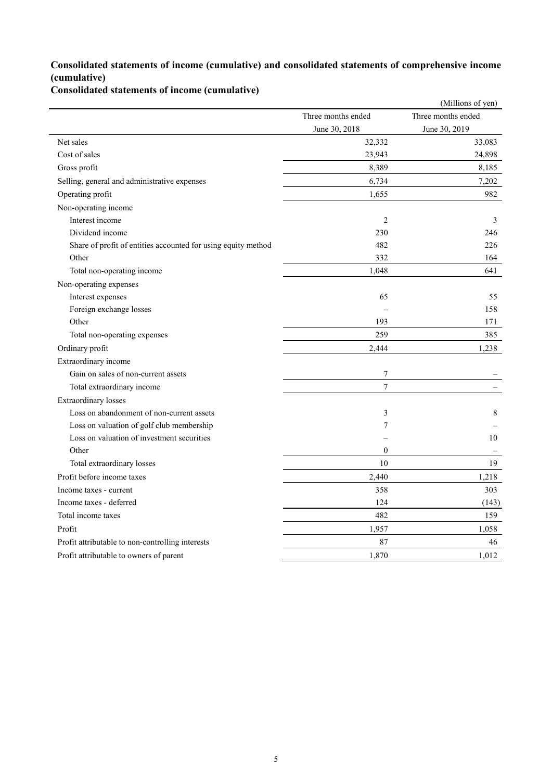## **Consolidated statements of income (cumulative) and consolidated statements of comprehensive income (cumulative)**

**Consolidated statements of income (cumulative)**

|                                                               |                    | (Millions of yen)  |
|---------------------------------------------------------------|--------------------|--------------------|
|                                                               | Three months ended | Three months ended |
|                                                               | June 30, 2018      | June 30, 2019      |
| Net sales                                                     | 32,332             | 33,083             |
| Cost of sales                                                 | 23,943             | 24,898             |
| Gross profit                                                  | 8,389              | 8,185              |
| Selling, general and administrative expenses                  | 6,734              | 7,202              |
| Operating profit                                              | 1,655              | 982                |
| Non-operating income                                          |                    |                    |
| Interest income                                               | $\overline{2}$     | 3                  |
| Dividend income                                               | 230                | 246                |
| Share of profit of entities accounted for using equity method | 482                | 226                |
| Other                                                         | 332                | 164                |
| Total non-operating income                                    | 1,048              | 641                |
| Non-operating expenses                                        |                    |                    |
| Interest expenses                                             | 65                 | 55                 |
| Foreign exchange losses                                       |                    | 158                |
| Other                                                         | 193                | 171                |
| Total non-operating expenses                                  | 259                | 385                |
| Ordinary profit                                               | 2,444              | 1,238              |
| Extraordinary income                                          |                    |                    |
| Gain on sales of non-current assets                           | $\tau$             |                    |
| Total extraordinary income                                    | $\boldsymbol{7}$   |                    |
| <b>Extraordinary</b> losses                                   |                    |                    |
| Loss on abandonment of non-current assets                     | 3                  | 8                  |
| Loss on valuation of golf club membership                     | 7                  |                    |
| Loss on valuation of investment securities                    |                    | 10                 |
| Other                                                         | $\mathbf{0}$       |                    |
| Total extraordinary losses                                    | 10                 | 19                 |
| Profit before income taxes                                    | 2,440              | 1,218              |
| Income taxes - current                                        | 358                | 303                |
| Income taxes - deferred                                       | 124                | (143)              |
| Total income taxes                                            | 482                | 159                |
| Profit                                                        | 1,957              | 1,058              |
| Profit attributable to non-controlling interests              | 87                 | 46                 |
| Profit attributable to owners of parent                       | 1,870              | 1,012              |